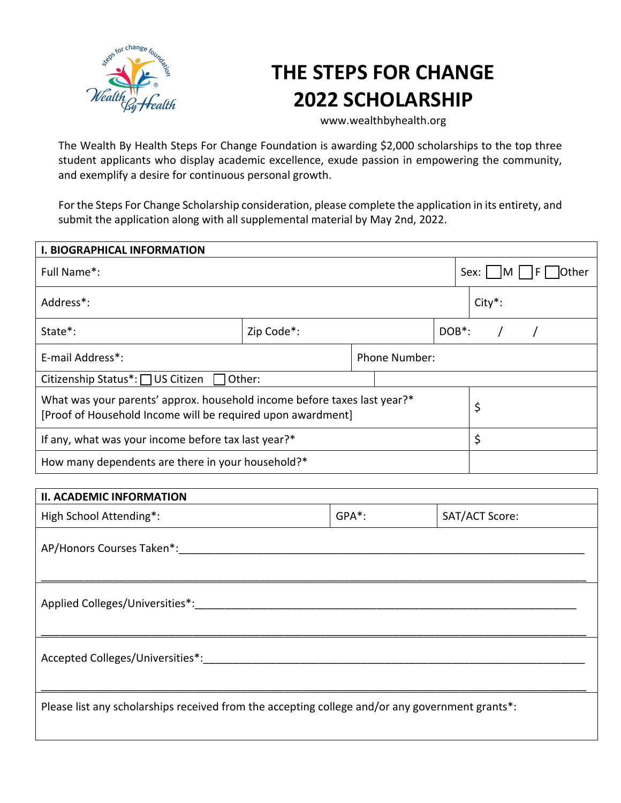

## **THE STEPS FOR CHANGE 2022 SCHOLARSHIP**

www.wealthbyhealth.org

The Wealth By Health Steps For Change Foundation is awarding \$2,000 scholarships to the top three student applicants who display academic excellence, exude passion in empowering the community, and exemplify a desire for continuous personal growth.

For the Steps For Change Scholarship consideration, please complete the application in its entirety, and submit the application along with all supplemental material by May 2nd, 2022.

| <b>I. BIOGRAPHICAL INFORMATION</b>                                                                                                      |            |               |                    |                            |  |  |  |
|-----------------------------------------------------------------------------------------------------------------------------------------|------------|---------------|--------------------|----------------------------|--|--|--|
| Full Name*:                                                                                                                             |            |               |                    | Sex: $\vert$  M  <br>Other |  |  |  |
| Address*:                                                                                                                               |            |               |                    | $City*$ :                  |  |  |  |
| State*:                                                                                                                                 | Zip Code*: |               | DOB <sup>*</sup> : |                            |  |  |  |
| E-mail Address*:                                                                                                                        |            | Phone Number: |                    |                            |  |  |  |
| Citizenship Status <sup>*</sup> : □ US Citizen<br>Other:                                                                                |            |               |                    |                            |  |  |  |
| What was your parents' approx. household income before taxes last year?*<br>[Proof of Household Income will be required upon awardment] |            |               |                    | \$                         |  |  |  |
| If any, what was your income before tax last year?*                                                                                     |            |               |                    | \$                         |  |  |  |
| How many dependents are there in your household?*                                                                                       |            |               |                    |                            |  |  |  |

| <b>II. ACADEMIC INFORMATION</b>                                                                 |       |                |  |  |
|-------------------------------------------------------------------------------------------------|-------|----------------|--|--|
| High School Attending*:                                                                         | GPA*: | SAT/ACT Score: |  |  |
| AP/Honors Courses Taken*:                                                                       |       |                |  |  |
| Applied Colleges/Universities*:                                                                 |       |                |  |  |
| Accepted Colleges/Universities*: ________                                                       |       |                |  |  |
| Please list any scholarships received from the accepting college and/or any government grants*: |       |                |  |  |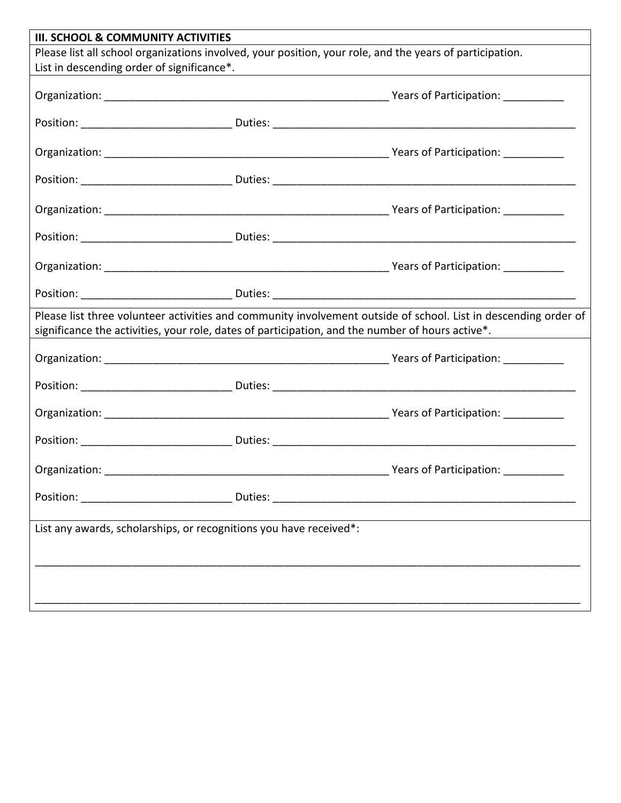| <b>III. SCHOOL &amp; COMMUNITY ACTIVITIES</b>                      |                                                                                                                                                                                                                     |
|--------------------------------------------------------------------|---------------------------------------------------------------------------------------------------------------------------------------------------------------------------------------------------------------------|
|                                                                    | Please list all school organizations involved, your position, your role, and the years of participation.                                                                                                            |
| List in descending order of significance*.                         | <u> 1980 - Johann John Stein, markin fizik eta idazleari (</u>                                                                                                                                                      |
|                                                                    |                                                                                                                                                                                                                     |
|                                                                    |                                                                                                                                                                                                                     |
|                                                                    |                                                                                                                                                                                                                     |
|                                                                    |                                                                                                                                                                                                                     |
|                                                                    |                                                                                                                                                                                                                     |
|                                                                    |                                                                                                                                                                                                                     |
|                                                                    |                                                                                                                                                                                                                     |
|                                                                    |                                                                                                                                                                                                                     |
|                                                                    | Please list three volunteer activities and community involvement outside of school. List in descending order of<br>significance the activities, your role, dates of participation, and the number of hours active*. |
|                                                                    |                                                                                                                                                                                                                     |
|                                                                    |                                                                                                                                                                                                                     |
|                                                                    |                                                                                                                                                                                                                     |
|                                                                    |                                                                                                                                                                                                                     |
|                                                                    |                                                                                                                                                                                                                     |
|                                                                    |                                                                                                                                                                                                                     |
| List any awards, scholarships, or recognitions you have received*: |                                                                                                                                                                                                                     |
|                                                                    |                                                                                                                                                                                                                     |
|                                                                    |                                                                                                                                                                                                                     |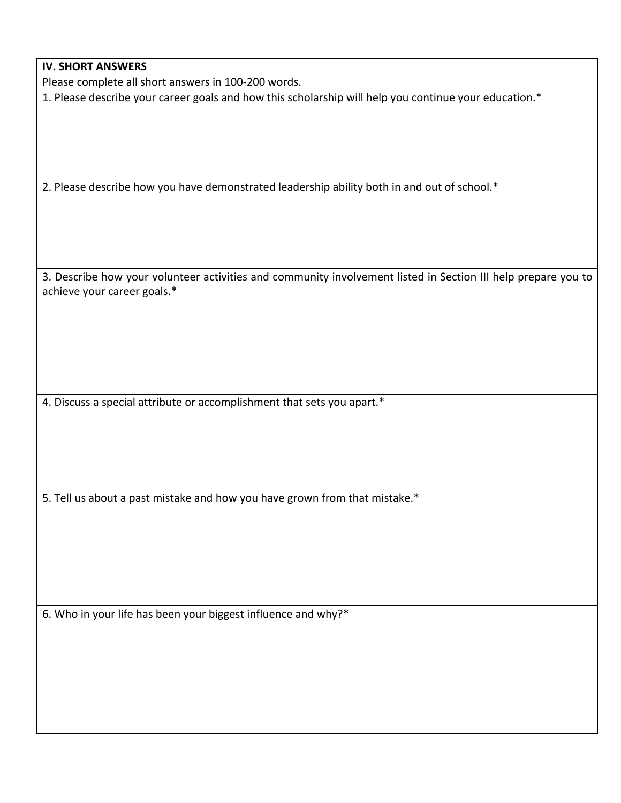| <b>IV. SHORT ANSWERS</b>                                                                                                                     |
|----------------------------------------------------------------------------------------------------------------------------------------------|
| Please complete all short answers in 100-200 words.                                                                                          |
| 1. Please describe your career goals and how this scholarship will help you continue your education.*                                        |
| 2. Please describe how you have demonstrated leadership ability both in and out of school.*                                                  |
| 3. Describe how your volunteer activities and community involvement listed in Section III help prepare you to<br>achieve your career goals.* |
| 4. Discuss a special attribute or accomplishment that sets you apart.*                                                                       |
| 5. Tell us about a past mistake and how you have grown from that mistake.*                                                                   |

6. Who in your life has been your biggest influence and why?\*